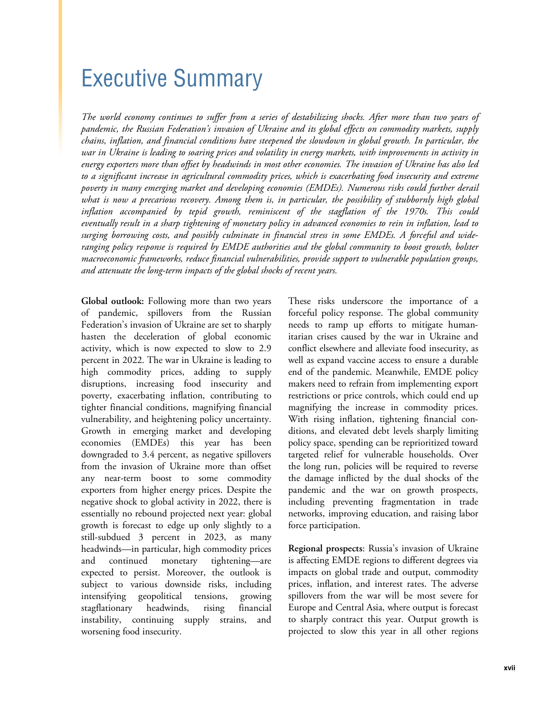## Executive Summary

*The world economy continues to suffer from a series of destabilizing shocks. After more than two years of pandemic, the Russian Federation's invasion of Ukraine and its global effects on commodity markets, supply chains, inflation, and financial conditions have steepened the slowdown in global growth. In particular, the war in Ukraine is leading to soaring prices and volatility in energy markets, with improvements in activity in energy exporters more than offset by headwinds in most other economies. The invasion of Ukraine has also led to a significant increase in agricultural commodity prices, which is exacerbating food insecurity and extreme poverty in many emerging market and developing economies (EMDEs). Numerous risks could further derail what is now a precarious recovery. Among them is, in particular, the possibility of stubbornly high global inflation accompanied by tepid growth, reminiscent of the stagflation of the 1970s. This could eventually result in a sharp tightening of monetary policy in advanced economies to rein in inflation, lead to surging borrowing costs, and possibly culminate in financial stress in some EMDEs. A forceful and wideranging policy response is required by EMDE authorities and the global community to boost growth, bolster macroeconomic frameworks, reduce financial vulnerabilities, provide support to vulnerable population groups, and attenuate the long-term impacts of the global shocks of recent years.* 

**Global outlook:** Following more than two years of pandemic, spillovers from the Russian Federation's invasion of Ukraine are set to sharply hasten the deceleration of global economic activity, which is now expected to slow to 2.9 percent in 2022. The war in Ukraine is leading to high commodity prices, adding to supply disruptions, increasing food insecurity and poverty, exacerbating inflation, contributing to tighter financial conditions, magnifying financial vulnerability, and heightening policy uncertainty. Growth in emerging market and developing economies (EMDEs) this year has been downgraded to 3.4 percent, as negative spillovers from the invasion of Ukraine more than offset any near-term boost to some commodity exporters from higher energy prices. Despite the negative shock to global activity in 2022, there is essentially no rebound projected next year: global growth is forecast to edge up only slightly to a still-subdued 3 percent in 2023, as many headwinds—in particular, high commodity prices and continued monetary tightening—are expected to persist. Moreover, the outlook is subject to various downside risks, including intensifying geopolitical tensions, growing stagflationary headwinds, rising financial instability, continuing supply strains, and worsening food insecurity.

These risks underscore the importance of a forceful policy response. The global community needs to ramp up efforts to mitigate humanitarian crises caused by the war in Ukraine and conflict elsewhere and alleviate food insecurity, as well as expand vaccine access to ensure a durable end of the pandemic. Meanwhile, EMDE policy makers need to refrain from implementing export restrictions or price controls, which could end up magnifying the increase in commodity prices. With rising inflation, tightening financial conditions, and elevated debt levels sharply limiting policy space, spending can be reprioritized toward targeted relief for vulnerable households. Over the long run, policies will be required to reverse the damage inflicted by the dual shocks of the pandemic and the war on growth prospects, including preventing fragmentation in trade networks, improving education, and raising labor force participation.

**Regional prospects**: Russia's invasion of Ukraine is affecting EMDE regions to different degrees via impacts on global trade and output, commodity prices, inflation, and interest rates. The adverse spillovers from the war will be most severe for Europe and Central Asia, where output is forecast to sharply contract this year. Output growth is projected to slow this year in all other regions